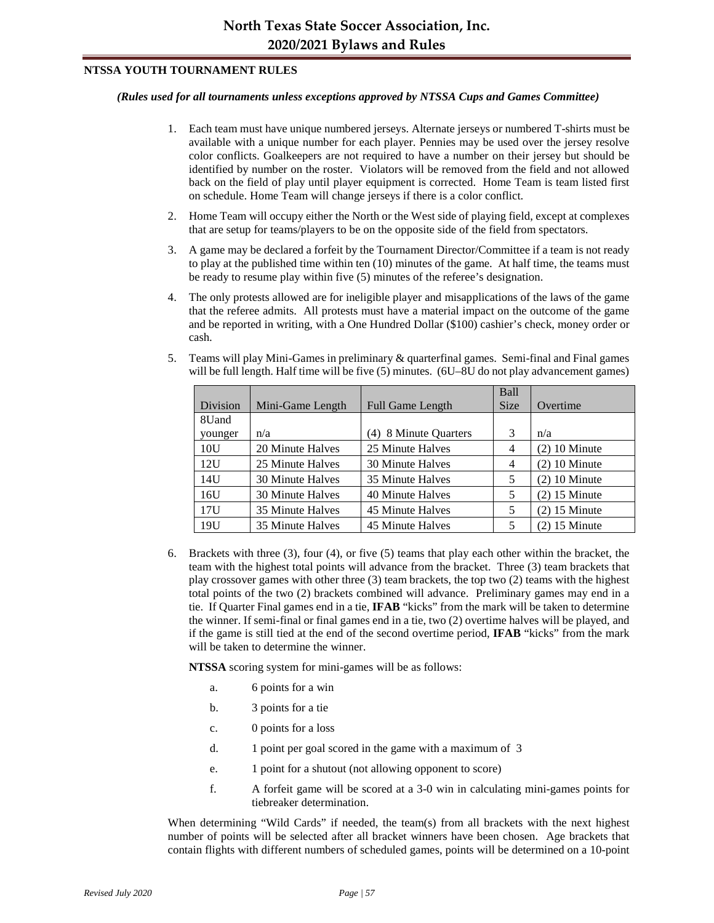## **NTSSA YOUTH TOURNAMENT RULES**

## *(Rules used for all tournaments unless exceptions approved by NTSSA Cups and Games Committee)*

- 1. Each team must have unique numbered jerseys. Alternate jerseys or numbered T-shirts must be available with a unique number for each player. Pennies may be used over the jersey resolve color conflicts. Goalkeepers are not required to have a number on their jersey but should be identified by number on the roster. Violators will be removed from the field and not allowed back on the field of play until player equipment is corrected. Home Team is team listed first on schedule. Home Team will change jerseys if there is a color conflict.
- 2. Home Team will occupy either the North or the West side of playing field, except at complexes that are setup for teams/players to be on the opposite side of the field from spectators.
- 3. A game may be declared a forfeit by the Tournament Director/Committee if a team is not ready to play at the published time within ten (10) minutes of the game. At half time, the teams must be ready to resume play within five (5) minutes of the referee's designation.
- 4. The only protests allowed are for ineligible player and misapplications of the laws of the game that the referee admits. All protests must have a material impact on the outcome of the game and be reported in writing, with a One Hundred Dollar (\$100) cashier's check, money order or cash.
- 5. Teams will play Mini-Games in preliminary & quarterfinal games. Semi-final and Final games will be full length. Half time will be five (5) minutes. (6U–8U do not play advancement games)

|          |                  |                         | Ball           |                 |
|----------|------------------|-------------------------|----------------|-----------------|
| Division | Mini-Game Length | <b>Full Game Length</b> | <b>Size</b>    | Overtime        |
| 8Uand    |                  |                         |                |                 |
| younger  | n/a              | (4) 8 Minute Quarters   | 3              | n/a             |
| 10U      | 20 Minute Halves | 25 Minute Halves        | 4              | $(2)$ 10 Minute |
| 12U      | 25 Minute Halves | 30 Minute Halves        | $\overline{4}$ | $(2)$ 10 Minute |
| 14U      | 30 Minute Halves | 35 Minute Halves        | 5              | $(2)$ 10 Minute |
| 16U      | 30 Minute Halves | 40 Minute Halves        | 5              | $(2)$ 15 Minute |
| 17U      | 35 Minute Halves | 45 Minute Halves        | 5              | $(2)$ 15 Minute |
| 19U      | 35 Minute Halves | 45 Minute Halves        | 5              | $(2)$ 15 Minute |

6. Brackets with three (3), four (4), or five (5) teams that play each other within the bracket, the team with the highest total points will advance from the bracket. Three (3) team brackets that play crossover games with other three (3) team brackets, the top two (2) teams with the highest total points of the two (2) brackets combined will advance. Preliminary games may end in a tie. If Quarter Final games end in a tie, **IFAB** "kicks" from the mark will be taken to determine the winner. If semi-final or final games end in a tie, two (2) overtime halves will be played, and if the game is still tied at the end of the second overtime period, **IFAB** "kicks" from the mark will be taken to determine the winner.

**NTSSA** scoring system for mini-games will be as follows:

- a. 6 points for a win
- b. 3 points for a tie
- c. 0 points for a loss
- d. 1 point per goal scored in the game with a maximum of 3
- e. 1 point for a shutout (not allowing opponent to score)
- f. A forfeit game will be scored at a 3-0 win in calculating mini-games points for tiebreaker determination.

When determining "Wild Cards" if needed, the team(s) from all brackets with the next highest number of points will be selected after all bracket winners have been chosen. Age brackets that contain flights with different numbers of scheduled games, points will be determined on a 10-point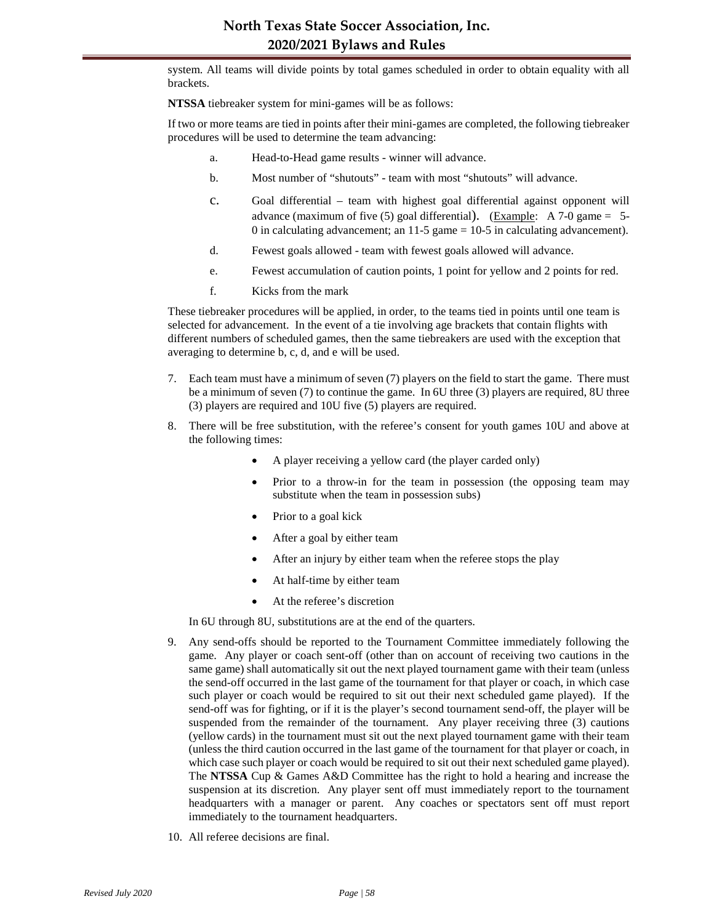system. All teams will divide points by total games scheduled in order to obtain equality with all brackets.

**NTSSA** tiebreaker system for mini-games will be as follows:

If two or more teams are tied in points after their mini-games are completed, the following tiebreaker procedures will be used to determine the team advancing:

- a. Head-to-Head game results winner will advance.
- b. Most number of "shutouts" team with most "shutouts" will advance.
- c. Goal differential team with highest goal differential against opponent will advance (maximum of five  $(5)$  goal differential). (Example: A 7-0 game = 5-0 in calculating advancement; an  $11-5$  game =  $10-5$  in calculating advancement).
- d. Fewest goals allowed team with fewest goals allowed will advance.
- e. Fewest accumulation of caution points, 1 point for yellow and 2 points for red.
- f. Kicks from the mark

These tiebreaker procedures will be applied, in order, to the teams tied in points until one team is selected for advancement. In the event of a tie involving age brackets that contain flights with different numbers of scheduled games, then the same tiebreakers are used with the exception that averaging to determine b, c, d, and e will be used.

- 7. Each team must have a minimum of seven (7) players on the field to start the game. There must be a minimum of seven (7) to continue the game. In 6U three (3) players are required, 8U three (3) players are required and 10U five (5) players are required.
- 8. There will be free substitution, with the referee's consent for youth games 10U and above at the following times:
	- A player receiving a yellow card (the player carded only)
	- Prior to a throw-in for the team in possession (the opposing team may substitute when the team in possession subs)
	- Prior to a goal kick
	- After a goal by either team
	- After an injury by either team when the referee stops the play
	- At half-time by either team
	- At the referee's discretion

In 6U through 8U, substitutions are at the end of the quarters.

- 9. Any send-offs should be reported to the Tournament Committee immediately following the game. Any player or coach sent-off (other than on account of receiving two cautions in the same game) shall automatically sit out the next played tournament game with their team (unless the send-off occurred in the last game of the tournament for that player or coach, in which case such player or coach would be required to sit out their next scheduled game played). If the send-off was for fighting, or if it is the player's second tournament send-off, the player will be suspended from the remainder of the tournament. Any player receiving three (3) cautions (yellow cards) in the tournament must sit out the next played tournament game with their team (unless the third caution occurred in the last game of the tournament for that player or coach, in which case such player or coach would be required to sit out their next scheduled game played). The **NTSSA** Cup & Games A&D Committee has the right to hold a hearing and increase the suspension at its discretion. Any player sent off must immediately report to the tournament headquarters with a manager or parent. Any coaches or spectators sent off must report immediately to the tournament headquarters.
- 10. All referee decisions are final.